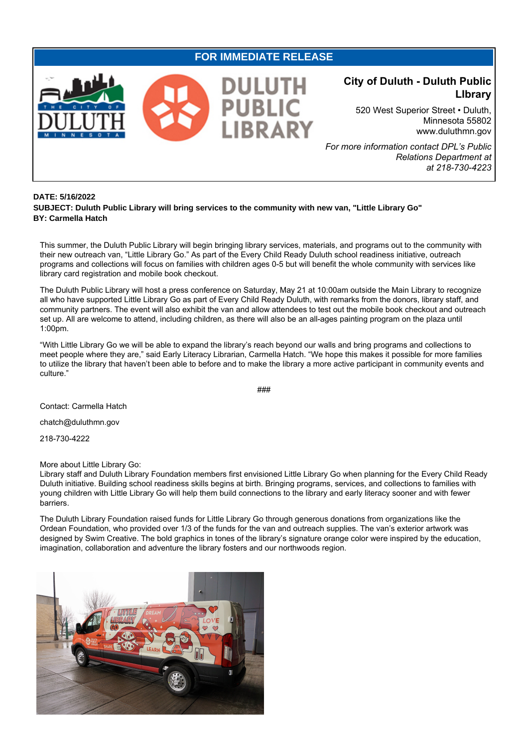## **FOR IMMEDIATE RELEASE**



## **City of Duluth - Duluth Public LIbrary**

520 West Superior Street • Duluth, Minnesota 55802 www.duluthmn.gov

*For more information contact DPL's Public Relations Department at at 218-730-4223*

## **DATE: 5/16/2022**

**SUBJECT: Duluth Public Library will bring services to the community with new van, "Little Library Go" BY: Carmella Hatch**

This summer, the Duluth Public Library will begin bringing library services, materials, and programs out to the community with their new outreach van, "Little Library Go." As part of the Every Child Ready Duluth school readiness initiative, outreach programs and collections will focus on families with children ages 0-5 but will benefit the whole community with services like library card registration and mobile book checkout.

The Duluth Public Library will host a press conference on Saturday, May 21 at 10:00am outside the Main Library to recognize all who have supported Little Library Go as part of Every Child Ready Duluth, with remarks from the donors, library staff, and community partners. The event will also exhibit the van and allow attendees to test out the mobile book checkout and outreach set up. All are welcome to attend, including children, as there will also be an all-ages painting program on the plaza until 1:00pm.

"With Little Library Go we will be able to expand the library's reach beyond our walls and bring programs and collections to meet people where they are," said Early Literacy Librarian, Carmella Hatch. "We hope this makes it possible for more families to utilize the library that haven't been able to before and to make the library a more active participant in community events and culture."

###

Contact: Carmella Hatch

chatch@duluthmn.gov

218-730-4222

## More about Little Library Go:

Library staff and Duluth Library Foundation members first envisioned Little Library Go when planning for the Every Child Ready Duluth initiative. Building school readiness skills begins at birth. Bringing programs, services, and collections to families with young children with Little Library Go will help them build connections to the library and early literacy sooner and with fewer barriers.

The Duluth Library Foundation raised funds for Little Library Go through generous donations from organizations like the Ordean Foundation, who provided over 1/3 of the funds for the van and outreach supplies. The van's exterior artwork was designed by Swim Creative. The bold graphics in tones of the library's signature orange color were inspired by the education, imagination, collaboration and adventure the library fosters and our northwoods region.